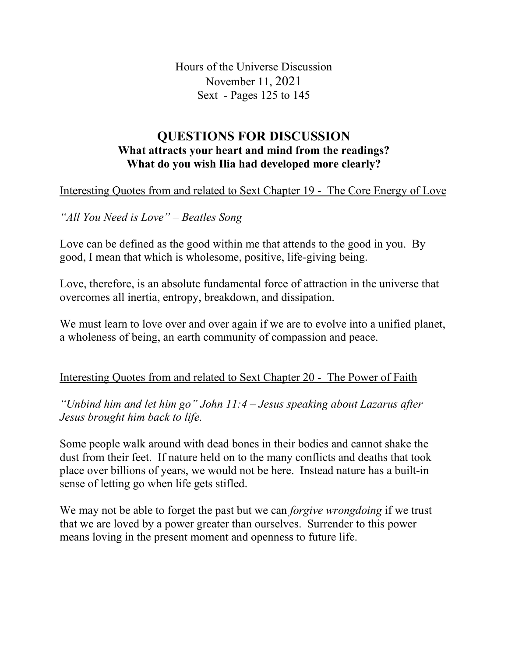Hours of the Universe Discussion November 11, 2021 Sext - Pages 125 to 145

## **QUESTIONS FOR DISCUSSION What attracts your heart and mind from the readings? What do you wish Ilia had developed more clearly?**

Interesting Quotes from and related to Sext Chapter 19 - The Core Energy of Love

*"All You Need is Love" – Beatles Song*

Love can be defined as the good within me that attends to the good in you. By good, I mean that which is wholesome, positive, life-giving being.

Love, therefore, is an absolute fundamental force of attraction in the universe that overcomes all inertia, entropy, breakdown, and dissipation.

We must learn to love over and over again if we are to evolve into a unified planet, a wholeness of being, an earth community of compassion and peace.

## Interesting Quotes from and related to Sext Chapter 20 - The Power of Faith

*"Unbind him and let him go" John 11:4 – Jesus speaking about Lazarus after Jesus brought him back to life.*

Some people walk around with dead bones in their bodies and cannot shake the dust from their feet. If nature held on to the many conflicts and deaths that took place over billions of years, we would not be here. Instead nature has a built-in sense of letting go when life gets stifled.

We may not be able to forget the past but we can *forgive wrongdoing* if we trust that we are loved by a power greater than ourselves. Surrender to this power means loving in the present moment and openness to future life.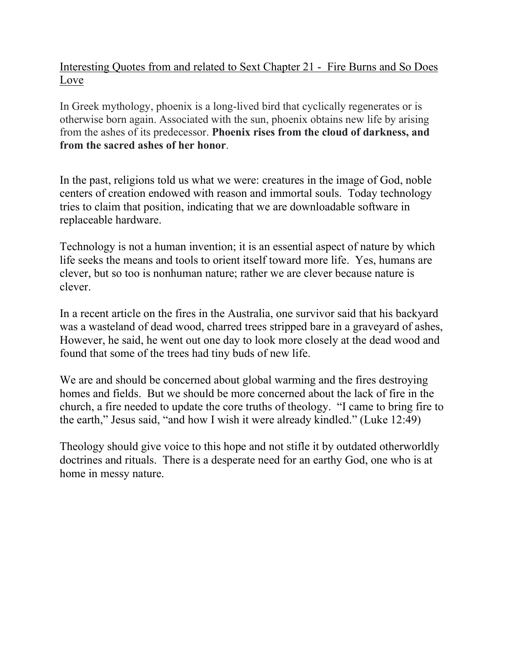Interesting Quotes from and related to Sext Chapter 21 - Fire Burns and So Does Love

In Greek mythology, phoenix is a long-lived bird that cyclically regenerates or is otherwise born again. Associated with the sun, phoenix obtains new life by arising from the ashes of its predecessor. **Phoenix rises from the cloud of darkness, and from the sacred ashes of her honor**.

In the past, religions told us what we were: creatures in the image of God, noble centers of creation endowed with reason and immortal souls. Today technology tries to claim that position, indicating that we are downloadable software in replaceable hardware.

Technology is not a human invention; it is an essential aspect of nature by which life seeks the means and tools to orient itself toward more life. Yes, humans are clever, but so too is nonhuman nature; rather we are clever because nature is clever.

In a recent article on the fires in the Australia, one survivor said that his backyard was a wasteland of dead wood, charred trees stripped bare in a graveyard of ashes, However, he said, he went out one day to look more closely at the dead wood and found that some of the trees had tiny buds of new life.

We are and should be concerned about global warming and the fires destroying homes and fields. But we should be more concerned about the lack of fire in the church, a fire needed to update the core truths of theology. "I came to bring fire to the earth," Jesus said, "and how I wish it were already kindled." (Luke 12:49)

Theology should give voice to this hope and not stifle it by outdated otherworldly doctrines and rituals. There is a desperate need for an earthy God, one who is at home in messy nature.